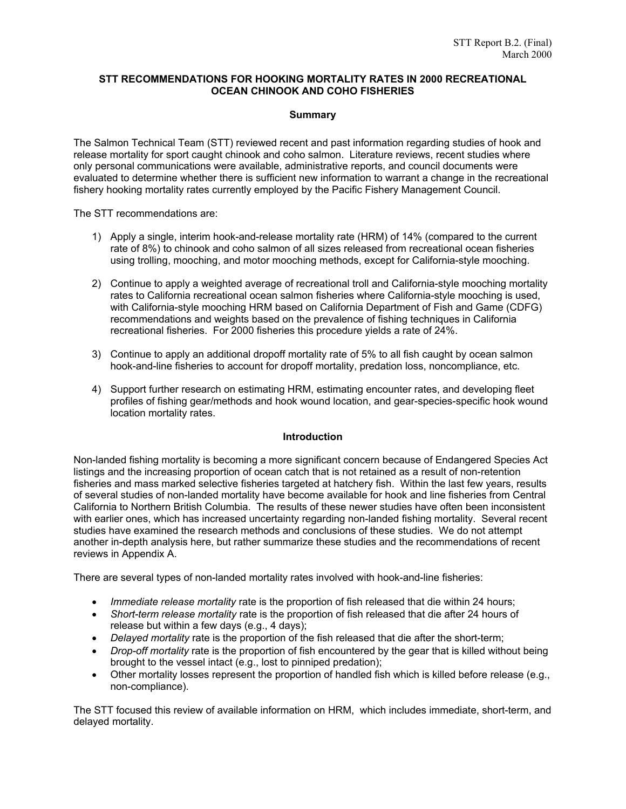# **STT RECOMMENDATIONS FOR HOOKING MORTALITY RATES IN 2000 RECREATIONAL OCEAN CHINOOK AND COHO FISHERIES**

# **Summary**

The Salmon Technical Team (STT) reviewed recent and past information regarding studies of hook and release mortality for sport caught chinook and coho salmon. Literature reviews, recent studies where only personal communications were available, administrative reports, and council documents were evaluated to determine whether there is sufficient new information to warrant a change in the recreational fishery hooking mortality rates currently employed by the Pacific Fishery Management Council.

The STT recommendations are:

- 1) Apply a single, interim hook-and-release mortality rate (HRM) of 14% (compared to the current rate of 8%) to chinook and coho salmon of all sizes released from recreational ocean fisheries using trolling, mooching, and motor mooching methods, except for California-style mooching.
- 2) Continue to apply a weighted average of recreational troll and California-style mooching mortality rates to California recreational ocean salmon fisheries where California-style mooching is used, with California-style mooching HRM based on California Department of Fish and Game (CDFG) recommendations and weights based on the prevalence of fishing techniques in California recreational fisheries. For 2000 fisheries this procedure yields a rate of 24%.
- 3) Continue to apply an additional dropoff mortality rate of 5% to all fish caught by ocean salmon hook-and-line fisheries to account for dropoff mortality, predation loss, noncompliance, etc.
- 4) Support further research on estimating HRM, estimating encounter rates, and developing fleet profiles of fishing gear/methods and hook wound location, and gear-species-specific hook wound location mortality rates.

# **Introduction**

Non-landed fishing mortality is becoming a more significant concern because of Endangered Species Act listings and the increasing proportion of ocean catch that is not retained as a result of non-retention fisheries and mass marked selective fisheries targeted at hatchery fish. Within the last few years, results of several studies of non-landed mortality have become available for hook and line fisheries from Central California to Northern British Columbia. The results of these newer studies have often been inconsistent with earlier ones, which has increased uncertainty regarding non-landed fishing mortality. Several recent studies have examined the research methods and conclusions of these studies. We do not attempt another in-depth analysis here, but rather summarize these studies and the recommendations of recent reviews in Appendix A.

There are several types of non-landed mortality rates involved with hook-and-line fisheries:

- *Immediate release mortality* rate is the proportion of fish released that die within 24 hours;
- *Short-term release mortality* rate is the proportion of fish released that die after 24 hours of release but within a few days (e.g., 4 days);
- *Delayed mortality* rate is the proportion of the fish released that die after the short-term;
- *Drop-off mortality* rate is the proportion of fish encountered by the gear that is killed without being brought to the vessel intact (e.g., lost to pinniped predation);
- Other mortality losses represent the proportion of handled fish which is killed before release (e.g., non-compliance).

The STT focused this review of available information on HRM, which includes immediate, short-term, and delayed mortality.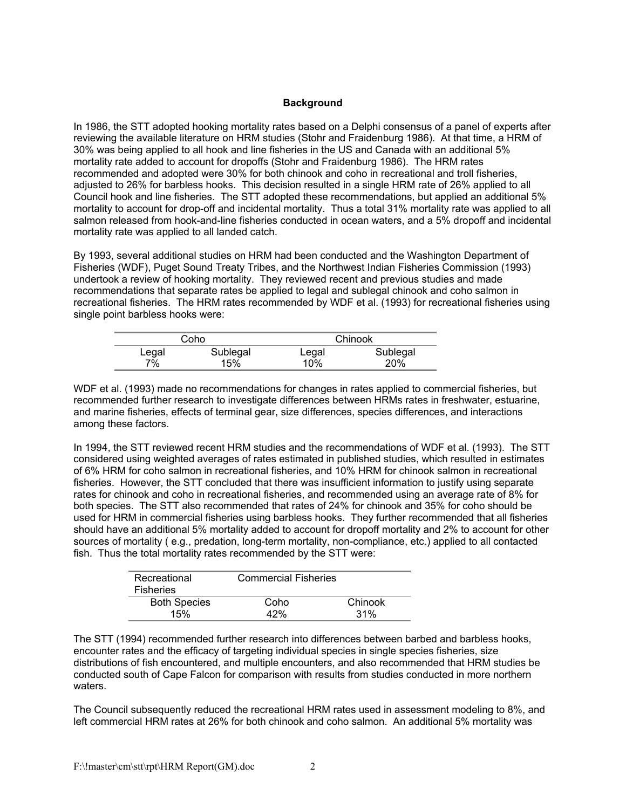# **Background**

In 1986, the STT adopted hooking mortality rates based on a Delphi consensus of a panel of experts after reviewing the available literature on HRM studies (Stohr and Fraidenburg 1986). At that time, a HRM of 30% was being applied to all hook and line fisheries in the US and Canada with an additional 5% mortality rate added to account for dropoffs (Stohr and Fraidenburg 1986). The HRM rates recommended and adopted were 30% for both chinook and coho in recreational and troll fisheries, adjusted to 26% for barbless hooks. This decision resulted in a single HRM rate of 26% applied to all Council hook and line fisheries. The STT adopted these recommendations, but applied an additional 5% mortality to account for drop-off and incidental mortality. Thus a total 31% mortality rate was applied to all salmon released from hook-and-line fisheries conducted in ocean waters, and a 5% dropoff and incidental mortality rate was applied to all landed catch.

By 1993, several additional studies on HRM had been conducted and the Washington Department of Fisheries (WDF), Puget Sound Treaty Tribes, and the Northwest Indian Fisheries Commission (1993) undertook a review of hooking mortality. They reviewed recent and previous studies and made recommendations that separate rates be applied to legal and sublegal chinook and coho salmon in recreational fisheries. The HRM rates recommended by WDF et al. (1993) for recreational fisheries using single point barbless hooks were:

|       | Coho     |       | Chinook  |
|-------|----------|-------|----------|
| Legal | Sublegal | Legal | Sublegal |
| 7%    | 15%      | 10%   | 20%      |

WDF et al. (1993) made no recommendations for changes in rates applied to commercial fisheries, but recommended further research to investigate differences between HRMs rates in freshwater, estuarine, and marine fisheries, effects of terminal gear, size differences, species differences, and interactions among these factors.

In 1994, the STT reviewed recent HRM studies and the recommendations of WDF et al. (1993). The STT considered using weighted averages of rates estimated in published studies, which resulted in estimates of 6% HRM for coho salmon in recreational fisheries, and 10% HRM for chinook salmon in recreational fisheries. However, the STT concluded that there was insufficient information to justify using separate rates for chinook and coho in recreational fisheries, and recommended using an average rate of 8% for both species. The STT also recommended that rates of 24% for chinook and 35% for coho should be used for HRM in commercial fisheries using barbless hooks. They further recommended that all fisheries should have an additional 5% mortality added to account for dropoff mortality and 2% to account for other sources of mortality ( e.g., predation, long-term mortality, non-compliance, etc.) applied to all contacted fish. Thus the total mortality rates recommended by the STT were:

| Recreational<br><b>Fisheries</b> | <b>Commercial Fisheries</b> |         |
|----------------------------------|-----------------------------|---------|
| <b>Both Species</b>              | Coho                        | Chinook |
| 15%                              | 42%                         | 31%     |

The STT (1994) recommended further research into differences between barbed and barbless hooks, encounter rates and the efficacy of targeting individual species in single species fisheries, size distributions of fish encountered, and multiple encounters, and also recommended that HRM studies be conducted south of Cape Falcon for comparison with results from studies conducted in more northern waters.

The Council subsequently reduced the recreational HRM rates used in assessment modeling to 8%, and left commercial HRM rates at 26% for both chinook and coho salmon. An additional 5% mortality was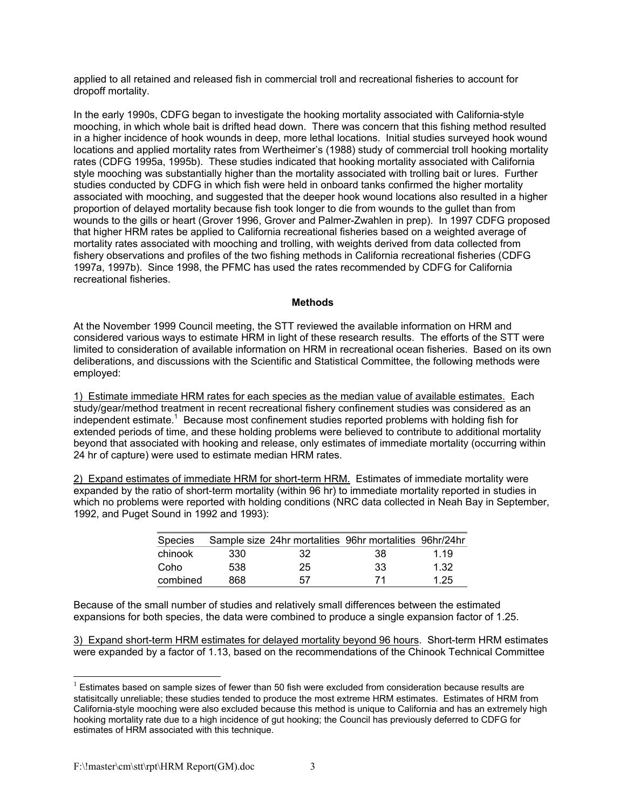applied to all retained and released fish in commercial troll and recreational fisheries to account for dropoff mortality.

In the early 1990s, CDFG began to investigate the hooking mortality associated with California-style mooching, in which whole bait is drifted head down. There was concern that this fishing method resulted in a higher incidence of hook wounds in deep, more lethal locations. Initial studies surveyed hook wound locations and applied mortality rates from Wertheimer's (1988) study of commercial troll hooking mortality rates (CDFG 1995a, 1995b). These studies indicated that hooking mortality associated with California style mooching was substantially higher than the mortality associated with trolling bait or lures. Further studies conducted by CDFG in which fish were held in onboard tanks confirmed the higher mortality associated with mooching, and suggested that the deeper hook wound locations also resulted in a higher proportion of delayed mortality because fish took longer to die from wounds to the gullet than from wounds to the gills or heart (Grover 1996, Grover and Palmer-Zwahlen in prep). In 1997 CDFG proposed that higher HRM rates be applied to California recreational fisheries based on a weighted average of mortality rates associated with mooching and trolling, with weights derived from data collected from fishery observations and profiles of the two fishing methods in California recreational fisheries (CDFG 1997a, 1997b). Since 1998, the PFMC has used the rates recommended by CDFG for California recreational fisheries.

# **Methods**

At the November 1999 Council meeting, the STT reviewed the available information on HRM and considered various ways to estimate HRM in light of these research results. The efforts of the STT were limited to consideration of available information on HRM in recreational ocean fisheries. Based on its own deliberations, and discussions with the Scientific and Statistical Committee, the following methods were employed:

1) Estimate immediate HRM rates for each species as the median value of available estimates. Each study/gear/method treatment in recent recreational fishery confinement studies was considered as an independent estimate.<sup>1</sup> Because most confinement studies reported problems with holding fish for extended periods of time, and these holding problems were believed to contribute to additional mortality beyond that associated with hooking and release, only estimates of immediate mortality (occurring within 24 hr of capture) were used to estimate median HRM rates.

2) Expand estimates of immediate HRM for short-term HRM. Estimates of immediate mortality were expanded by the ratio of short-term mortality (within 96 hr) to immediate mortality reported in studies in which no problems were reported with holding conditions (NRC data collected in Neah Bay in September, 1992, and Puget Sound in 1992 and 1993):

| Species  |       |     | Sample size 24hr mortalities 96hr mortalities 96hr/24hr |       |
|----------|-------|-----|---------------------------------------------------------|-------|
| chinook  | -330- | -32 | -38                                                     | 1 1 9 |
| Coho     | 538   | 25  | -33                                                     | 1.32  |
| combined | 868   | 57  | 71                                                      | 1.25  |

Because of the small number of studies and relatively small differences between the estimated expansions for both species, the data were combined to produce a single expansion factor of 1.25.

3) Expand short-term HRM estimates for delayed mortality beyond 96 hours. Short-term HRM estimates were expanded by a factor of 1.13, based on the recommendations of the Chinook Technical Committee

 $\overline{a}$ 

 $<sup>1</sup>$  Estimates based on sample sizes of fewer than 50 fish were excluded from consideration because results are</sup> statisitcally unreliable; these studies tended to produce the most extreme HRM estimates. Estimates of HRM from California-style mooching were also excluded because this method is unique to California and has an extremely high hooking mortality rate due to a high incidence of gut hooking; the Council has previously deferred to CDFG for estimates of HRM associated with this technique.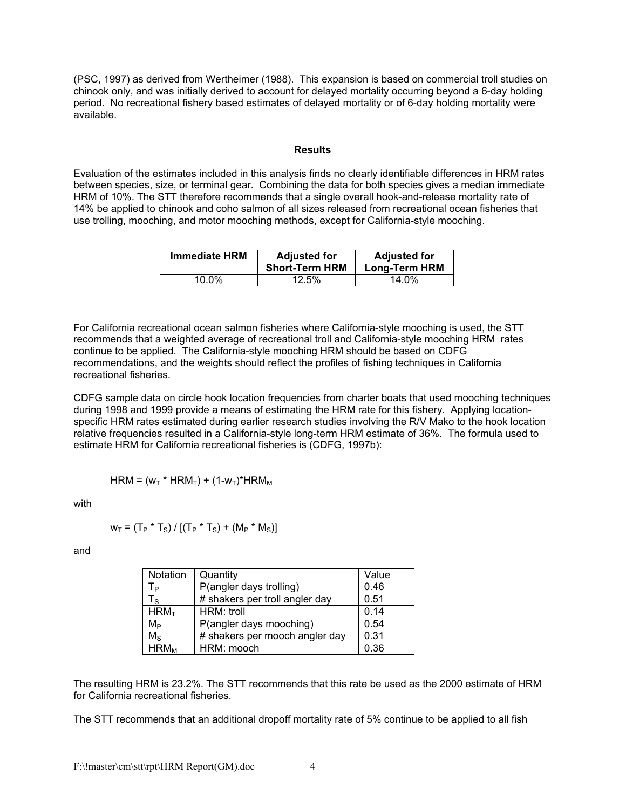(PSC, 1997) as derived from Wertheimer (1988). This expansion is based on commercial troll studies on chinook only, and was initially derived to account for delayed mortality occurring beyond a 6-day holding period. No recreational fishery based estimates of delayed mortality or of 6-day holding mortality were available.

#### **Results**

Evaluation of the estimates included in this analysis finds no clearly identifiable differences in HRM rates between species, size, or terminal gear. Combining the data for both species gives a median immediate HRM of 10%. The STT therefore recommends that a single overall hook-and-release mortality rate of 14% be applied to chinook and coho salmon of all sizes released from recreational ocean fisheries that use trolling, mooching, and motor mooching methods, except for California-style mooching.

| <b>Immediate HRM</b> | <b>Adjusted for</b><br><b>Short-Term HRM</b> | <b>Adjusted for</b><br><b>Long-Term HRM</b> |
|----------------------|----------------------------------------------|---------------------------------------------|
| 10.0%                | 12.5%                                        | 14.0%                                       |

For California recreational ocean salmon fisheries where California-style mooching is used, the STT recommends that a weighted average of recreational troll and California-style mooching HRM rates continue to be applied. The California-style mooching HRM should be based on CDFG recommendations, and the weights should reflect the profiles of fishing techniques in California recreational fisheries.

CDFG sample data on circle hook location frequencies from charter boats that used mooching techniques during 1998 and 1999 provide a means of estimating the HRM rate for this fishery. Applying locationspecific HRM rates estimated during earlier research studies involving the R/V Mako to the hook location relative frequencies resulted in a California-style long-term HRM estimate of 36%. The formula used to estimate HRM for California recreational fisheries is (CDFG, 1997b):

 $HRM = (w_T * HRM_T) + (1-w_T) * HRM_M$ 

with

$$
w_T = (T_P * T_S) / [(T_P * T_S) + (M_P * M_S)]
$$

and

| <b>Notation</b>  | Quantity                       | Value |
|------------------|--------------------------------|-------|
| $T_{P}$          | P(angler days trolling)        | 0.46  |
| $T_S$            | # shakers per troll angler day | 0.51  |
| HRM <sub>T</sub> | HRM: troll                     | 0.14  |
| $M_{\rm P}$      | P(angler days mooching)        | 0.54  |
| $M_{S}$          | # shakers per mooch angler day | 0.31  |
| $HRM_M$          | HRM: mooch                     | 0.36  |

The resulting HRM is 23.2%. The STT recommends that this rate be used as the 2000 estimate of HRM for California recreational fisheries.

The STT recommends that an additional dropoff mortality rate of 5% continue to be applied to all fish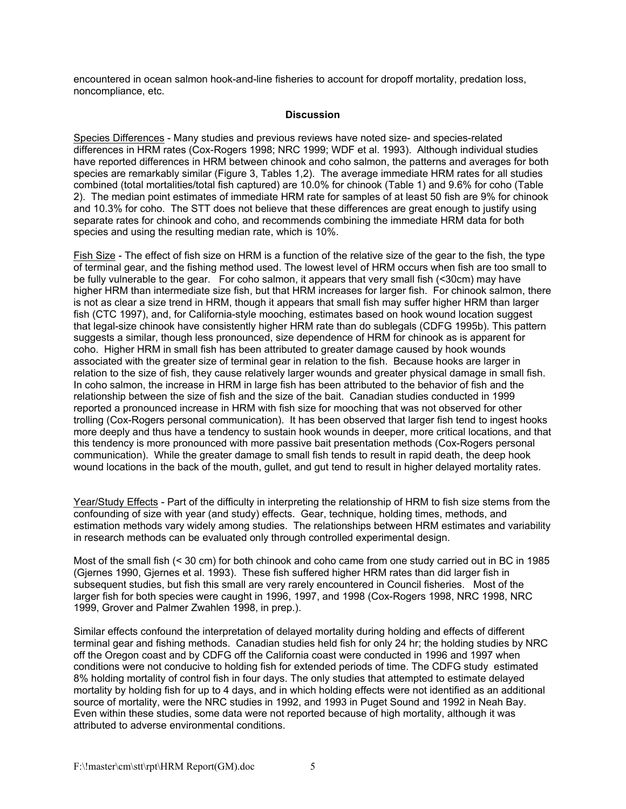encountered in ocean salmon hook-and-line fisheries to account for dropoff mortality, predation loss, noncompliance, etc.

### **Discussion**

Species Differences - Many studies and previous reviews have noted size- and species-related differences in HRM rates (Cox-Rogers 1998; NRC 1999; WDF et al. 1993). Although individual studies have reported differences in HRM between chinook and coho salmon, the patterns and averages for both species are remarkably similar (Figure 3, Tables 1,2). The average immediate HRM rates for all studies combined (total mortalities/total fish captured) are 10.0% for chinook (Table 1) and 9.6% for coho (Table 2). The median point estimates of immediate HRM rate for samples of at least 50 fish are 9% for chinook and 10.3% for coho. The STT does not believe that these differences are great enough to justify using separate rates for chinook and coho, and recommends combining the immediate HRM data for both species and using the resulting median rate, which is 10%.

Fish Size - The effect of fish size on HRM is a function of the relative size of the gear to the fish, the type of terminal gear, and the fishing method used. The lowest level of HRM occurs when fish are too small to be fully vulnerable to the gear. For coho salmon, it appears that very small fish (<30cm) may have higher HRM than intermediate size fish, but that HRM increases for larger fish. For chinook salmon, there is not as clear a size trend in HRM, though it appears that small fish may suffer higher HRM than larger fish (CTC 1997), and, for California-style mooching, estimates based on hook wound location suggest that legal-size chinook have consistently higher HRM rate than do sublegals (CDFG 1995b). This pattern suggests a similar, though less pronounced, size dependence of HRM for chinook as is apparent for coho. Higher HRM in small fish has been attributed to greater damage caused by hook wounds associated with the greater size of terminal gear in relation to the fish. Because hooks are larger in relation to the size of fish, they cause relatively larger wounds and greater physical damage in small fish. In coho salmon, the increase in HRM in large fish has been attributed to the behavior of fish and the relationship between the size of fish and the size of the bait. Canadian studies conducted in 1999 reported a pronounced increase in HRM with fish size for mooching that was not observed for other trolling (Cox-Rogers personal communication). It has been observed that larger fish tend to ingest hooks more deeply and thus have a tendency to sustain hook wounds in deeper, more critical locations, and that this tendency is more pronounced with more passive bait presentation methods (Cox-Rogers personal communication). While the greater damage to small fish tends to result in rapid death, the deep hook wound locations in the back of the mouth, gullet, and gut tend to result in higher delayed mortality rates.

Year/Study Effects - Part of the difficulty in interpreting the relationship of HRM to fish size stems from the confounding of size with year (and study) effects. Gear, technique, holding times, methods, and estimation methods vary widely among studies. The relationships between HRM estimates and variability in research methods can be evaluated only through controlled experimental design.

Most of the small fish (< 30 cm) for both chinook and coho came from one study carried out in BC in 1985 (Gjernes 1990, Gjernes et al. 1993). These fish suffered higher HRM rates than did larger fish in subsequent studies, but fish this small are very rarely encountered in Council fisheries. Most of the larger fish for both species were caught in 1996, 1997, and 1998 (Cox-Rogers 1998, NRC 1998, NRC 1999, Grover and Palmer Zwahlen 1998, in prep.).

Similar effects confound the interpretation of delayed mortality during holding and effects of different terminal gear and fishing methods. Canadian studies held fish for only 24 hr; the holding studies by NRC off the Oregon coast and by CDFG off the California coast were conducted in 1996 and 1997 when conditions were not conducive to holding fish for extended periods of time. The CDFG study estimated 8% holding mortality of control fish in four days. The only studies that attempted to estimate delayed mortality by holding fish for up to 4 days, and in which holding effects were not identified as an additional source of mortality, were the NRC studies in 1992, and 1993 in Puget Sound and 1992 in Neah Bay. Even within these studies, some data were not reported because of high mortality, although it was attributed to adverse environmental conditions.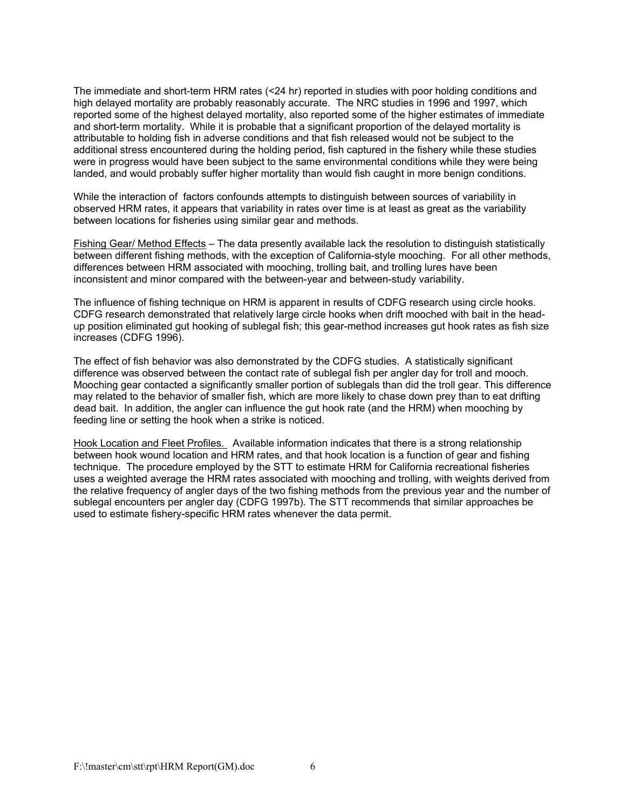The immediate and short-term HRM rates (<24 hr) reported in studies with poor holding conditions and high delayed mortality are probably reasonably accurate. The NRC studies in 1996 and 1997, which reported some of the highest delayed mortality, also reported some of the higher estimates of immediate and short-term mortality. While it is probable that a significant proportion of the delayed mortality is attributable to holding fish in adverse conditions and that fish released would not be subject to the additional stress encountered during the holding period, fish captured in the fishery while these studies were in progress would have been subject to the same environmental conditions while they were being landed, and would probably suffer higher mortality than would fish caught in more benign conditions.

While the interaction of factors confounds attempts to distinguish between sources of variability in observed HRM rates, it appears that variability in rates over time is at least as great as the variability between locations for fisheries using similar gear and methods.

Fishing Gear/ Method Effects – The data presently available lack the resolution to distinguish statistically between different fishing methods, with the exception of California-style mooching. For all other methods, differences between HRM associated with mooching, trolling bait, and trolling lures have been inconsistent and minor compared with the between-year and between-study variability.

The influence of fishing technique on HRM is apparent in results of CDFG research using circle hooks. CDFG research demonstrated that relatively large circle hooks when drift mooched with bait in the headup position eliminated gut hooking of sublegal fish; this gear-method increases gut hook rates as fish size increases (CDFG 1996).

The effect of fish behavior was also demonstrated by the CDFG studies. A statistically significant difference was observed between the contact rate of sublegal fish per angler day for troll and mooch. Mooching gear contacted a significantly smaller portion of sublegals than did the troll gear. This difference may related to the behavior of smaller fish, which are more likely to chase down prey than to eat drifting dead bait. In addition, the angler can influence the gut hook rate (and the HRM) when mooching by feeding line or setting the hook when a strike is noticed.

Hook Location and Fleet Profiles. Available information indicates that there is a strong relationship between hook wound location and HRM rates, and that hook location is a function of gear and fishing technique. The procedure employed by the STT to estimate HRM for California recreational fisheries uses a weighted average the HRM rates associated with mooching and trolling, with weights derived from the relative frequency of angler days of the two fishing methods from the previous year and the number of sublegal encounters per angler day (CDFG 1997b). The STT recommends that similar approaches be used to estimate fishery-specific HRM rates whenever the data permit.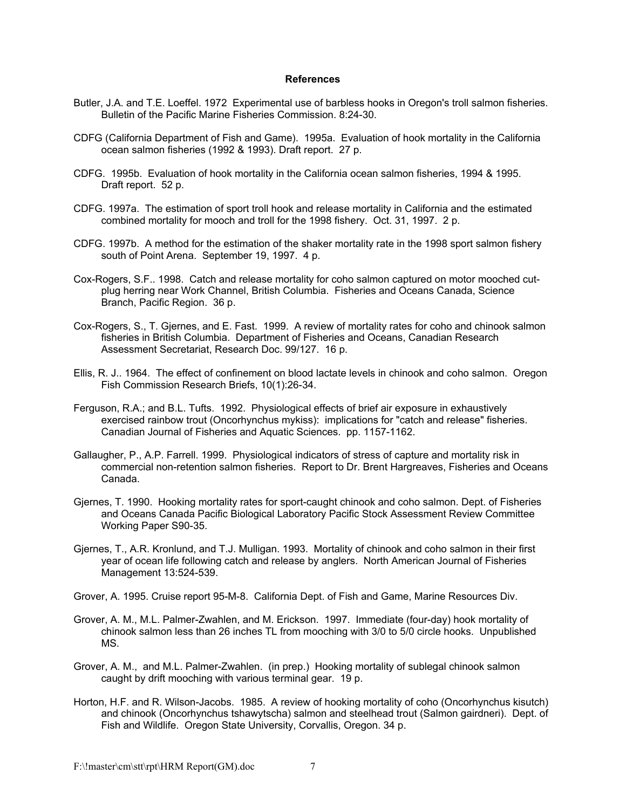#### **References**

- Butler, J.A. and T.E. Loeffel. 1972 Experimental use of barbless hooks in Oregon's troll salmon fisheries. Bulletin of the Pacific Marine Fisheries Commission. 8:24-30.
- CDFG (California Department of Fish and Game). 1995a. Evaluation of hook mortality in the California ocean salmon fisheries (1992 & 1993). Draft report. 27 p.
- CDFG. 1995b. Evaluation of hook mortality in the California ocean salmon fisheries, 1994 & 1995. Draft report. 52 p.
- CDFG. 1997a. The estimation of sport troll hook and release mortality in California and the estimated combined mortality for mooch and troll for the 1998 fishery. Oct. 31, 1997. 2 p.
- CDFG. 1997b. A method for the estimation of the shaker mortality rate in the 1998 sport salmon fishery south of Point Arena. September 19, 1997. 4 p.
- Cox-Rogers, S.F.. 1998. Catch and release mortality for coho salmon captured on motor mooched cutplug herring near Work Channel, British Columbia. Fisheries and Oceans Canada, Science Branch, Pacific Region. 36 p.
- Cox-Rogers, S., T. Gjernes, and E. Fast. 1999. A review of mortality rates for coho and chinook salmon fisheries in British Columbia. Department of Fisheries and Oceans, Canadian Research Assessment Secretariat, Research Doc. 99/127. 16 p.
- Ellis, R. J.. 1964. The effect of confinement on blood lactate levels in chinook and coho salmon. Oregon Fish Commission Research Briefs, 10(1):26-34.
- Ferguson, R.A.; and B.L. Tufts. 1992. Physiological effects of brief air exposure in exhaustively exercised rainbow trout (Oncorhynchus mykiss): implications for "catch and release" fisheries. Canadian Journal of Fisheries and Aquatic Sciences. pp. 1157-1162.
- Gallaugher, P., A.P. Farrell. 1999. Physiological indicators of stress of capture and mortality risk in commercial non-retention salmon fisheries. Report to Dr. Brent Hargreaves, Fisheries and Oceans Canada.
- Gjernes, T. 1990. Hooking mortality rates for sport-caught chinook and coho salmon. Dept. of Fisheries and Oceans Canada Pacific Biological Laboratory Pacific Stock Assessment Review Committee Working Paper S90-35.
- Gjernes, T., A.R. Kronlund, and T.J. Mulligan. 1993. Mortality of chinook and coho salmon in their first year of ocean life following catch and release by anglers. North American Journal of Fisheries Management 13:524-539.
- Grover, A. 1995. Cruise report 95-M-8. California Dept. of Fish and Game, Marine Resources Div.
- Grover, A. M., M.L. Palmer-Zwahlen, and M. Erickson. 1997. Immediate (four-day) hook mortality of chinook salmon less than 26 inches TL from mooching with 3/0 to 5/0 circle hooks. Unpublished MS.
- Grover, A. M., and M.L. Palmer-Zwahlen. (in prep.) Hooking mortality of sublegal chinook salmon caught by drift mooching with various terminal gear. 19 p.
- Horton, H.F. and R. Wilson-Jacobs. 1985. A review of hooking mortality of coho (Oncorhynchus kisutch) and chinook (Oncorhynchus tshawytscha) salmon and steelhead trout (Salmon gairdneri). Dept. of Fish and Wildlife. Oregon State University, Corvallis, Oregon. 34 p.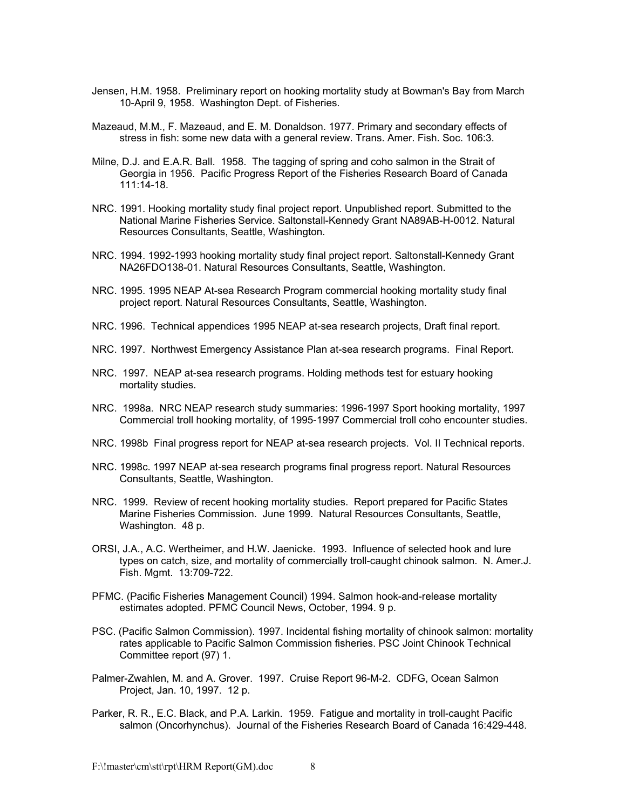- Jensen, H.M. 1958. Preliminary report on hooking mortality study at Bowman's Bay from March 10-April 9, 1958. Washington Dept. of Fisheries.
- Mazeaud, M.M., F. Mazeaud, and E. M. Donaldson. 1977. Primary and secondary effects of stress in fish: some new data with a general review. Trans. Amer. Fish. Soc. 106:3.
- Milne, D.J. and E.A.R. Ball. 1958. The tagging of spring and coho salmon in the Strait of Georgia in 1956. Pacific Progress Report of the Fisheries Research Board of Canada 111:14-18.
- NRC. 1991. Hooking mortality study final project report. Unpublished report. Submitted to the National Marine Fisheries Service. Saltonstall-Kennedy Grant NA89AB-H-0012. Natural Resources Consultants, Seattle, Washington.
- NRC. 1994. 1992-1993 hooking mortality study final project report. Saltonstall-Kennedy Grant NA26FDO138-01. Natural Resources Consultants, Seattle, Washington.
- NRC. 1995. 1995 NEAP At-sea Research Program commercial hooking mortality study final project report. Natural Resources Consultants, Seattle, Washington.
- NRC. 1996. Technical appendices 1995 NEAP at-sea research projects, Draft final report.
- NRC. 1997. Northwest Emergency Assistance Plan at-sea research programs. Final Report.
- NRC. 1997. NEAP at-sea research programs. Holding methods test for estuary hooking mortality studies.
- NRC. 1998a. NRC NEAP research study summaries: 1996-1997 Sport hooking mortality, 1997 Commercial troll hooking mortality, of 1995-1997 Commercial troll coho encounter studies.
- NRC. 1998b Final progress report for NEAP at-sea research projects. Vol. II Technical reports.
- NRC. 1998c. 1997 NEAP at-sea research programs final progress report. Natural Resources Consultants, Seattle, Washington.
- NRC. 1999. Review of recent hooking mortality studies. Report prepared for Pacific States Marine Fisheries Commission. June 1999. Natural Resources Consultants, Seattle, Washington. 48 p.
- ORSI, J.A., A.C. Wertheimer, and H.W. Jaenicke. 1993. Influence of selected hook and lure types on catch, size, and mortality of commercially troll-caught chinook salmon. N. Amer.J. Fish. Mgmt. 13:709-722.
- PFMC. (Pacific Fisheries Management Council) 1994. Salmon hook-and-release mortality estimates adopted. PFMC Council News, October, 1994. 9 p.
- PSC. (Pacific Salmon Commission). 1997. Incidental fishing mortality of chinook salmon: mortality rates applicable to Pacific Salmon Commission fisheries. PSC Joint Chinook Technical Committee report (97) 1.
- Palmer-Zwahlen, M. and A. Grover. 1997. Cruise Report 96-M-2. CDFG, Ocean Salmon Project, Jan. 10, 1997. 12 p.
- Parker, R. R., E.C. Black, and P.A. Larkin. 1959. Fatigue and mortality in troll-caught Pacific salmon (Oncorhynchus). Journal of the Fisheries Research Board of Canada 16:429-448.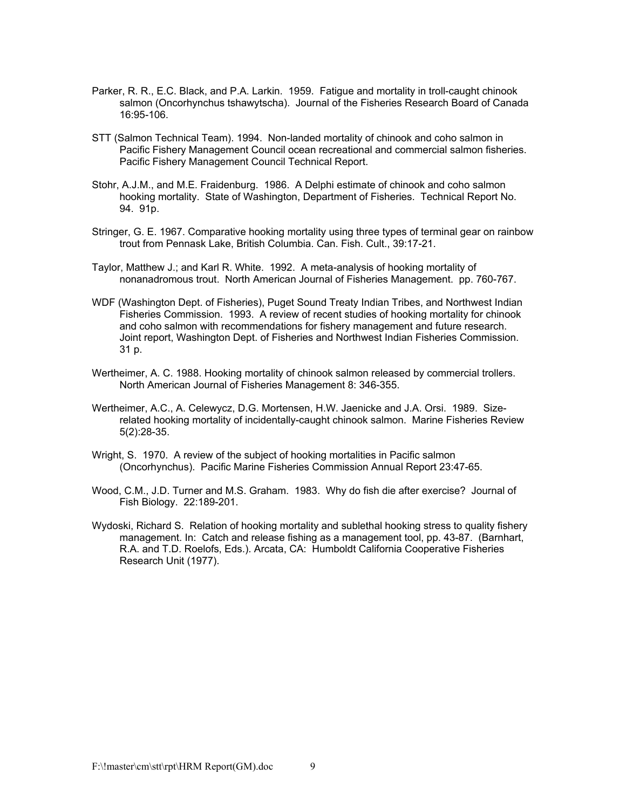- Parker, R. R., E.C. Black, and P.A. Larkin. 1959. Fatigue and mortality in troll-caught chinook salmon (Oncorhynchus tshawytscha). Journal of the Fisheries Research Board of Canada 16:95-106.
- STT (Salmon Technical Team). 1994. Non-landed mortality of chinook and coho salmon in Pacific Fishery Management Council ocean recreational and commercial salmon fisheries. Pacific Fishery Management Council Technical Report.
- Stohr, A.J.M., and M.E. Fraidenburg. 1986. A Delphi estimate of chinook and coho salmon hooking mortality. State of Washington, Department of Fisheries. Technical Report No. 94. 91p.
- Stringer, G. E. 1967. Comparative hooking mortality using three types of terminal gear on rainbow trout from Pennask Lake, British Columbia. Can. Fish. Cult., 39:17-21.
- Taylor, Matthew J.; and Karl R. White. 1992. A meta-analysis of hooking mortality of nonanadromous trout. North American Journal of Fisheries Management. pp. 760-767.
- WDF (Washington Dept. of Fisheries), Puget Sound Treaty Indian Tribes, and Northwest Indian Fisheries Commission. 1993. A review of recent studies of hooking mortality for chinook and coho salmon with recommendations for fishery management and future research. Joint report, Washington Dept. of Fisheries and Northwest Indian Fisheries Commission. 31 p.
- Wertheimer, A. C. 1988. Hooking mortality of chinook salmon released by commercial trollers. North American Journal of Fisheries Management 8: 346-355.
- Wertheimer, A.C., A. Celewycz, D.G. Mortensen, H.W. Jaenicke and J.A. Orsi. 1989. Sizerelated hooking mortality of incidentally-caught chinook salmon. Marine Fisheries Review 5(2):28-35.
- Wright, S. 1970. A review of the subject of hooking mortalities in Pacific salmon (Oncorhynchus). Pacific Marine Fisheries Commission Annual Report 23:47-65.
- Wood, C.M., J.D. Turner and M.S. Graham. 1983. Why do fish die after exercise? Journal of Fish Biology. 22:189-201.
- Wydoski, Richard S. Relation of hooking mortality and sublethal hooking stress to quality fishery management. In: Catch and release fishing as a management tool, pp. 43-87. (Barnhart, R.A. and T.D. Roelofs, Eds.). Arcata, CA: Humboldt California Cooperative Fisheries Research Unit (1977).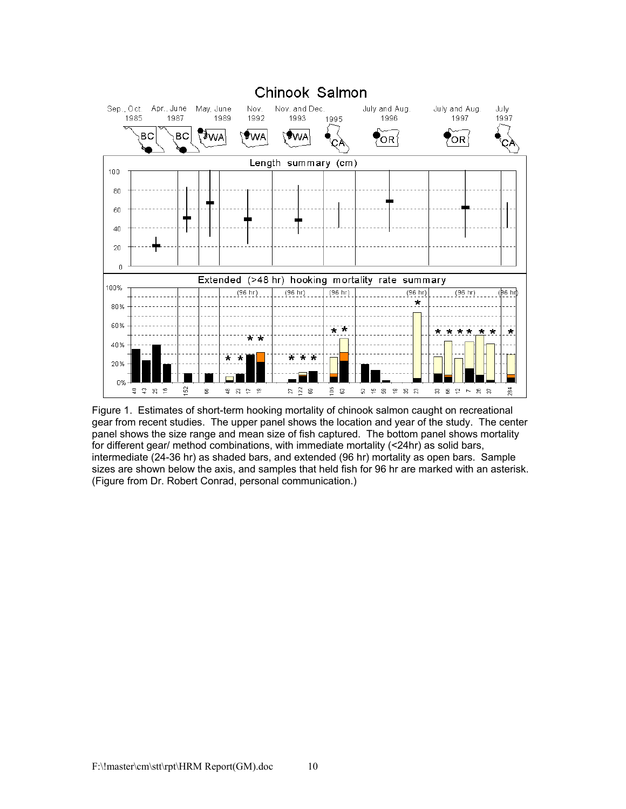

Figure 1. Estimates of short-term hooking mortality of chinook salmon caught on recreational gear from recent studies. The upper panel shows the location and year of the study. The center panel shows the size range and mean size of fish captured. The bottom panel shows mortality for different gear/ method combinations, with immediate mortality (<24hr) as solid bars, intermediate (24-36 hr) as shaded bars, and extended (96 hr) mortality as open bars. Sample sizes are shown below the axis, and samples that held fish for 96 hr are marked with an asterisk. (Figure from Dr. Robert Conrad, personal communication.)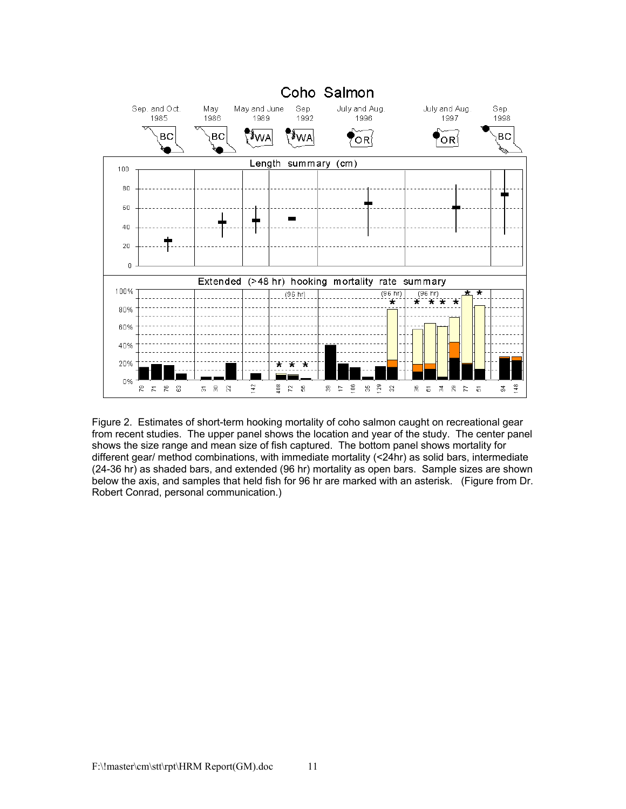

Figure 2. Estimates of short-term hooking mortality of coho salmon caught on recreational gear from recent studies. The upper panel shows the location and year of the study. The center panel shows the size range and mean size of fish captured. The bottom panel shows mortality for different gear/ method combinations, with immediate mortality (<24hr) as solid bars, intermediate (24-36 hr) as shaded bars, and extended (96 hr) mortality as open bars. Sample sizes are shown below the axis, and samples that held fish for 96 hr are marked with an asterisk. (Figure from Dr. Robert Conrad, personal communication.)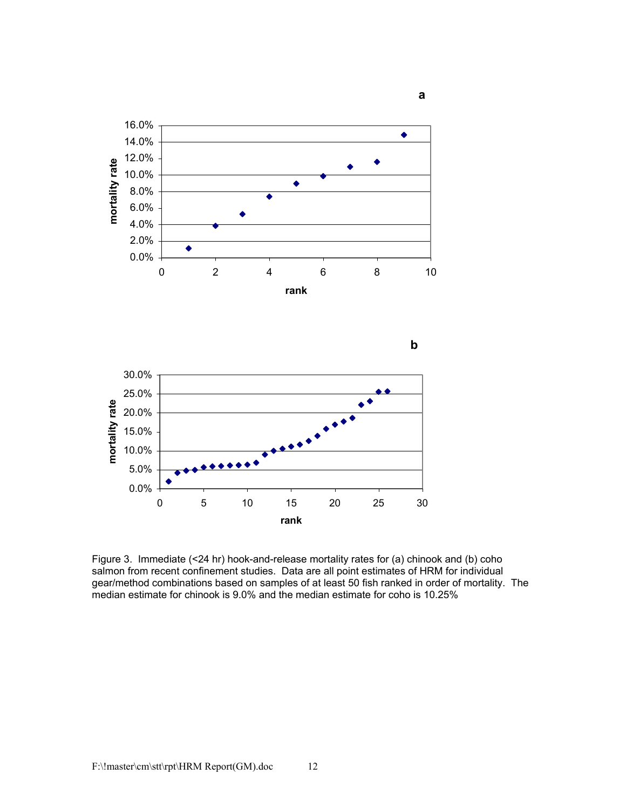

Figure 3. Immediate (<24 hr) hook-and-release mortality rates for (a) chinook and (b) coho salmon from recent confinement studies. Data are all point estimates of HRM for individual gear/method combinations based on samples of at least 50 fish ranked in order of mortality. The median estimate for chinook is 9.0% and the median estimate for coho is 10.25%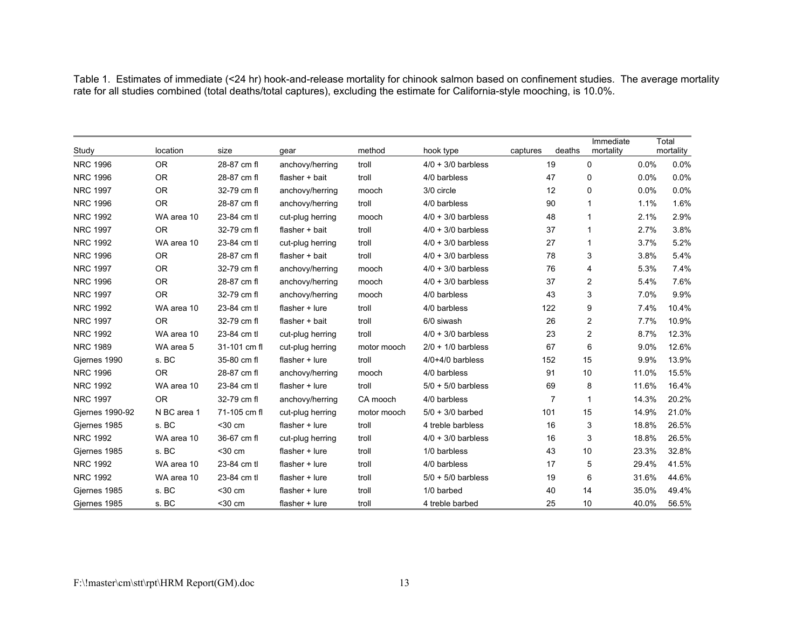Table 1. Estimates of immediate (<24 hr) hook-and-release mortality for chinook salmon based on confinement studies. The average mortality rate for all studies combined (total deaths/total captures), excluding the estimate for California-style mooching, is 10.0%.

| Study           | location    | size         | gear             | method      | hook type            | captures | deaths         | Immediate<br>mortality |       | Total<br>mortality |
|-----------------|-------------|--------------|------------------|-------------|----------------------|----------|----------------|------------------------|-------|--------------------|
| <b>NRC 1996</b> | <b>OR</b>   | 28-87 cm fl  | anchovy/herring  | troll       | $4/0 + 3/0$ barbless |          | 19             | 0                      | 0.0%  | 0.0%               |
| <b>NRC 1996</b> | <b>OR</b>   | 28-87 cm fl  | flasher + bait   | troll       | 4/0 barbless         |          | 47             | 0                      | 0.0%  | 0.0%               |
| <b>NRC 1997</b> | <b>OR</b>   | 32-79 cm fl  | anchovy/herring  | mooch       | 3/0 circle           |          | 12             | 0                      | 0.0%  | 0.0%               |
| <b>NRC 1996</b> | <b>OR</b>   | 28-87 cm fl  | anchovy/herring  | troll       | 4/0 barbless         |          | 90             | $\mathbf{1}$           | 1.1%  | 1.6%               |
| <b>NRC 1992</b> | WA area 10  | 23-84 cm tl  | cut-plug herring | mooch       | $4/0 + 3/0$ barbless |          | 48             | $\mathbf{1}$           | 2.1%  | 2.9%               |
| <b>NRC 1997</b> | <b>OR</b>   | 32-79 cm fl  | flasher + bait   | troll       | $4/0 + 3/0$ barbless |          | 37             | $\mathbf{1}$           | 2.7%  | 3.8%               |
| <b>NRC 1992</b> | WA area 10  | 23-84 cm tl  | cut-plug herring | troll       | $4/0 + 3/0$ barbless |          | 27             | $\mathbf{1}$           | 3.7%  | 5.2%               |
| <b>NRC 1996</b> | <b>OR</b>   | 28-87 cm fl  | flasher + bait   | troll       | $4/0 + 3/0$ barbless |          | 78             | 3                      | 3.8%  | 5.4%               |
| <b>NRC 1997</b> | <b>OR</b>   | 32-79 cm fl  | anchovy/herring  | mooch       | $4/0 + 3/0$ barbless |          | 76             | 4                      | 5.3%  | 7.4%               |
| <b>NRC 1996</b> | <b>OR</b>   | 28-87 cm fl  | anchovy/herring  | mooch       | $4/0 + 3/0$ barbless |          | 37             | 2                      | 5.4%  | 7.6%               |
| <b>NRC 1997</b> | <b>OR</b>   | 32-79 cm fl  | anchovy/herring  | mooch       | 4/0 barbless         |          | 43             | 3                      | 7.0%  | 9.9%               |
| <b>NRC 1992</b> | WA area 10  | 23-84 cm tl  | flasher $+$ lure | troll       | 4/0 barbless         |          | 122            | 9                      | 7.4%  | 10.4%              |
| <b>NRC 1997</b> | <b>OR</b>   | 32-79 cm fl  | flasher + bait   | troll       | 6/0 siwash           |          | 26             | 2                      | 7.7%  | 10.9%              |
| <b>NRC 1992</b> | WA area 10  | 23-84 cm tl  | cut-plug herring | troll       | $4/0 + 3/0$ barbless |          | 23             | $\overline{2}$         | 8.7%  | 12.3%              |
| <b>NRC 1989</b> | WA area 5   | 31-101 cm fl | cut-plug herring | motor mooch | $2/0 + 1/0$ barbless |          | 67             | 6                      | 9.0%  | 12.6%              |
| Gjernes 1990    | s. BC       | 35-80 cm fl  | flasher + lure   | troll       | $4/0+4/0$ barbless   |          | 152            | 15                     | 9.9%  | 13.9%              |
| <b>NRC 1996</b> | <b>OR</b>   | 28-87 cm fl  | anchovy/herring  | mooch       | 4/0 barbless         |          | 91             | 10                     | 11.0% | 15.5%              |
| <b>NRC 1992</b> | WA area 10  | 23-84 cm tl  | flasher + lure   | troll       | $5/0 + 5/0$ barbless |          | 69             | 8                      | 11.6% | 16.4%              |
| <b>NRC 1997</b> | <b>OR</b>   | 32-79 cm fl  | anchovy/herring  | CA mooch    | 4/0 barbless         |          | $\overline{7}$ | $\mathbf{1}$           | 14.3% | 20.2%              |
| Gjernes 1990-92 | N BC area 1 | 71-105 cm fl | cut-plug herring | motor mooch | $5/0 + 3/0$ barbed   |          | 101            | 15                     | 14.9% | 21.0%              |
| Gjernes 1985    | s. BC       | $30 cm$      | flasher + lure   | troll       | 4 treble barbless    |          | 16             | 3                      | 18.8% | 26.5%              |
| <b>NRC 1992</b> | WA area 10  | 36-67 cm fl  | cut-plug herring | troll       | $4/0 + 3/0$ barbless |          | 16             | 3                      | 18.8% | 26.5%              |
| Gjernes 1985    | s. BC       | $30 cm$      | flasher + lure   | troll       | 1/0 barbless         |          | 43             | 10                     | 23.3% | 32.8%              |
| <b>NRC 1992</b> | WA area 10  | 23-84 cm tl  | flasher + lure   | troll       | 4/0 barbless         |          | 17             | 5                      | 29.4% | 41.5%              |
| <b>NRC 1992</b> | WA area 10  | 23-84 cm tl  | flasher + lure   | troll       | $5/0 + 5/0$ barbless |          | 19             | 6                      | 31.6% | 44.6%              |
| Giernes 1985    | s. BC       | $30 cm$      | flasher $+$ lure | troll       | 1/0 barbed           |          | 40             | 14                     | 35.0% | 49.4%              |
| Gjernes 1985    | s. BC       | $30 cm$      | flasher $+$ lure | troll       | 4 treble barbed      |          | 25             | 10                     | 40.0% | 56.5%              |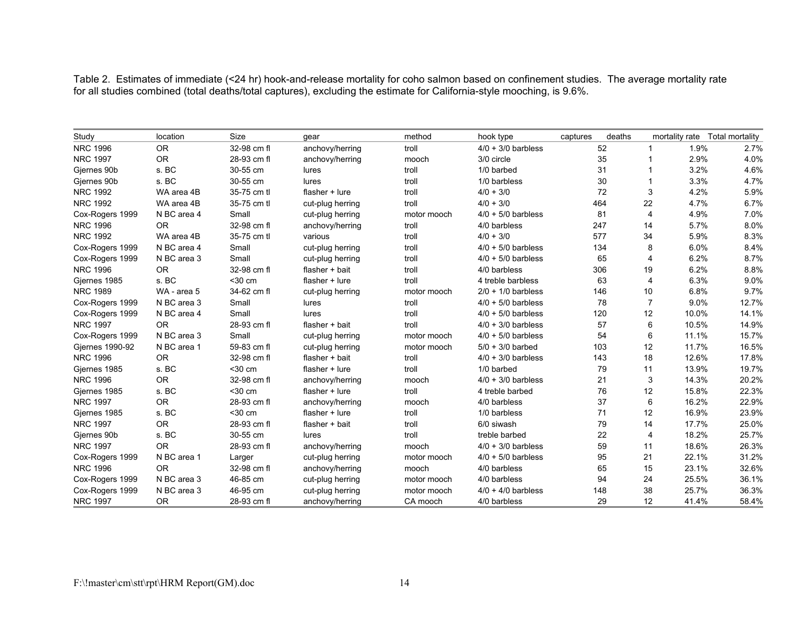Table 2. Estimates of immediate (<24 hr) hook-and-release mortality for coho salmon based on confinement studies. The average mortality rate for all studies combined (total deaths/total captures), excluding the estimate for California-style mooching, is 9.6%.

| Study           | location    | Size        | qear             | method      | hook type            | captures | deaths         |       | mortality rate Total mortality |
|-----------------|-------------|-------------|------------------|-------------|----------------------|----------|----------------|-------|--------------------------------|
| <b>NRC 1996</b> | <b>OR</b>   | 32-98 cm fl | anchovy/herring  | troll       | $4/0 + 3/0$ barbless | 52       | $\mathbf{1}$   | 1.9%  | 2.7%                           |
| <b>NRC 1997</b> | <b>OR</b>   | 28-93 cm fl | anchovy/herring  | mooch       | 3/0 circle           | 35       | 1              | 2.9%  | 4.0%                           |
| Giernes 90b     | s. BC       | 30-55 cm    | lures            | troll       | 1/0 barbed           | 31       |                | 3.2%  | 4.6%                           |
| Giernes 90b     | s. BC       | 30-55 cm    | lures            | troll       | 1/0 barbless         | 30       |                | 3.3%  | 4.7%                           |
| <b>NRC 1992</b> | WA area 4B  | 35-75 cm tl | flasher + lure   | troll       | $4/0 + 3/0$          | 72       | 3              | 4.2%  | 5.9%                           |
| <b>NRC 1992</b> | WA area 4B  | 35-75 cm tl | cut-plug herring | troll       | $4/0 + 3/0$          | 464      | 22             | 4.7%  | 6.7%                           |
| Cox-Rogers 1999 | N BC area 4 | Small       | cut-plug herring | motor mooch | $4/0 + 5/0$ barbless | 81       | 4              | 4.9%  | 7.0%                           |
| <b>NRC 1996</b> | <b>OR</b>   | 32-98 cm fl | anchovy/herring  | troll       | 4/0 barbless         | 247      | 14             | 5.7%  | 8.0%                           |
| <b>NRC 1992</b> | WA area 4B  | 35-75 cm tl | various          | troll       | $4/0 + 3/0$          | 577      | 34             | 5.9%  | 8.3%                           |
| Cox-Rogers 1999 | N BC area 4 | Small       | cut-plug herring | troll       | $4/0 + 5/0$ barbless | 134      | 8              | 6.0%  | 8.4%                           |
| Cox-Rogers 1999 | N BC area 3 | Small       | cut-plug herring | troll       | $4/0 + 5/0$ barbless | 65       | 4              | 6.2%  | 8.7%                           |
| <b>NRC 1996</b> | <b>OR</b>   | 32-98 cm fl | flasher + bait   | troll       | 4/0 barbless         | 306      | 19             | 6.2%  | 8.8%                           |
| Gjernes 1985    | s. BC       | $30 cm$     | flasher + lure   | troll       | 4 treble barbless    | 63       | $\overline{4}$ | 6.3%  | 9.0%                           |
| <b>NRC 1989</b> | WA - area 5 | 34-62 cm fl | cut-plug herring | motor mooch | $2/0 + 1/0$ barbless | 146      | 10             | 6.8%  | 9.7%                           |
| Cox-Rogers 1999 | N BC area 3 | Small       | lures            | troll       | $4/0 + 5/0$ barbless | 78       | $\overline{7}$ | 9.0%  | 12.7%                          |
| Cox-Rogers 1999 | N BC area 4 | Small       | lures            | troll       | $4/0 + 5/0$ barbless | 120      | 12             | 10.0% | 14.1%                          |
| <b>NRC 1997</b> | <b>OR</b>   | 28-93 cm fl | flasher + bait   | troll       | $4/0 + 3/0$ barbless | 57       | 6              | 10.5% | 14.9%                          |
| Cox-Rogers 1999 | N BC area 3 | Small       | cut-plug herring | motor mooch | $4/0 + 5/0$ barbless | 54       | 6              | 11.1% | 15.7%                          |
| Giernes 1990-92 | N BC area 1 | 59-83 cm fl | cut-plug herring | motor mooch | $5/0 + 3/0$ barbed   | 103      | 12             | 11.7% | 16.5%                          |
| <b>NRC 1996</b> | <b>OR</b>   | 32-98 cm fl | flasher + bait   | troll       | $4/0 + 3/0$ barbless | 143      | 18             | 12.6% | 17.8%                          |
| Giernes 1985    | s. BC       | $30 cm$     | flasher $+$ lure | troll       | 1/0 barbed           | 79       | 11             | 13.9% | 19.7%                          |
| <b>NRC 1996</b> | <b>OR</b>   | 32-98 cm fl | anchovy/herring  | mooch       | $4/0 + 3/0$ barbless | 21       | 3              | 14.3% | 20.2%                          |
| Gjernes 1985    | s. BC       | $30 cm$     | flasher $+$ lure | troll       | 4 treble barbed      | 76       | 12             | 15.8% | 22.3%                          |
| <b>NRC 1997</b> | <b>OR</b>   | 28-93 cm fl | anchovy/herring  | mooch       | 4/0 barbless         | 37       | 6              | 16.2% | 22.9%                          |
| Giernes 1985    | s. BC       | $30 cm$     | flasher + lure   | troll       | 1/0 barbless         | 71       | 12             | 16.9% | 23.9%                          |
| <b>NRC 1997</b> | <b>OR</b>   | 28-93 cm fl | flasher + bait   | troll       | 6/0 siwash           | 79       | 14             | 17.7% | 25.0%                          |
| Gjernes 90b     | s. BC       | 30-55 cm    | lures            | troll       | treble barbed        | 22       | 4              | 18.2% | 25.7%                          |
| <b>NRC 1997</b> | <b>OR</b>   | 28-93 cm fl | anchovy/herring  | mooch       | $4/0 + 3/0$ barbless | 59       | 11             | 18.6% | 26.3%                          |
| Cox-Rogers 1999 | N BC area 1 | Larger      | cut-plug herring | motor mooch | $4/0 + 5/0$ barbless | 95       | 21             | 22.1% | 31.2%                          |
| <b>NRC 1996</b> | <b>OR</b>   | 32-98 cm fl | anchovy/herring  | mooch       | 4/0 barbless         | 65       | 15             | 23.1% | 32.6%                          |
| Cox-Rogers 1999 | N BC area 3 | 46-85 cm    | cut-plug herring | motor mooch | 4/0 barbless         | 94       | 24             | 25.5% | 36.1%                          |
| Cox-Rogers 1999 | N BC area 3 | 46-95 cm    | cut-plug herring | motor mooch | $4/0 + 4/0$ barbless | 148      | 38             | 25.7% | 36.3%                          |
| <b>NRC 1997</b> | <b>OR</b>   | 28-93 cm fl | anchovy/herring  | CA mooch    | 4/0 barbless         | 29       | 12             | 41.4% | 58.4%                          |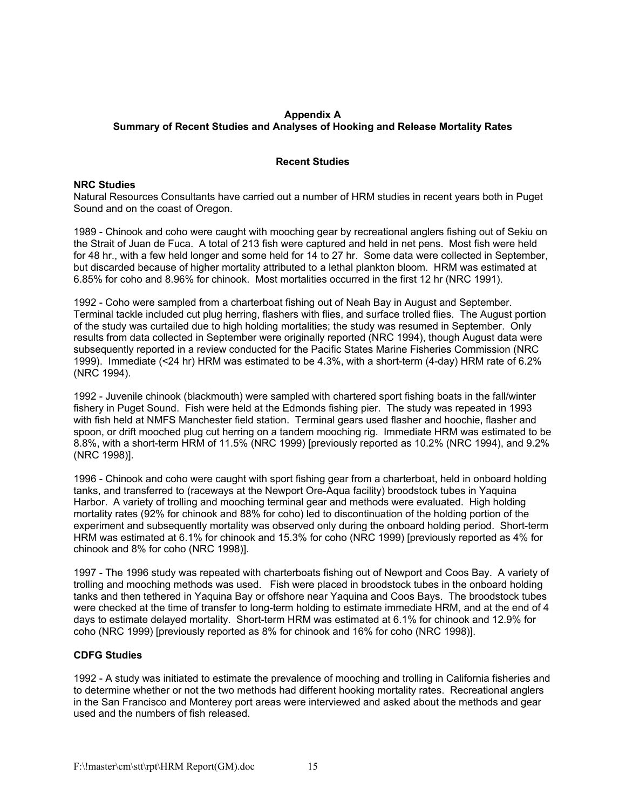# **Appendix A Summary of Recent Studies and Analyses of Hooking and Release Mortality Rates**

### **Recent Studies**

## **NRC Studies**

Natural Resources Consultants have carried out a number of HRM studies in recent years both in Puget Sound and on the coast of Oregon.

1989 - Chinook and coho were caught with mooching gear by recreational anglers fishing out of Sekiu on the Strait of Juan de Fuca. A total of 213 fish were captured and held in net pens. Most fish were held for 48 hr., with a few held longer and some held for 14 to 27 hr. Some data were collected in September, but discarded because of higher mortality attributed to a lethal plankton bloom. HRM was estimated at 6.85% for coho and 8.96% for chinook. Most mortalities occurred in the first 12 hr (NRC 1991).

1992 - Coho were sampled from a charterboat fishing out of Neah Bay in August and September. Terminal tackle included cut plug herring, flashers with flies, and surface trolled flies. The August portion of the study was curtailed due to high holding mortalities; the study was resumed in September. Only results from data collected in September were originally reported (NRC 1994), though August data were subsequently reported in a review conducted for the Pacific States Marine Fisheries Commission (NRC 1999). Immediate (<24 hr) HRM was estimated to be 4.3%, with a short-term (4-day) HRM rate of 6.2% (NRC 1994).

1992 - Juvenile chinook (blackmouth) were sampled with chartered sport fishing boats in the fall/winter fishery in Puget Sound. Fish were held at the Edmonds fishing pier. The study was repeated in 1993 with fish held at NMFS Manchester field station. Terminal gears used flasher and hoochie, flasher and spoon, or drift mooched plug cut herring on a tandem mooching rig. Immediate HRM was estimated to be 8.8%, with a short-term HRM of 11.5% (NRC 1999) [previously reported as 10.2% (NRC 1994), and 9.2% (NRC 1998)].

1996 - Chinook and coho were caught with sport fishing gear from a charterboat, held in onboard holding tanks, and transferred to (raceways at the Newport Ore-Aqua facility) broodstock tubes in Yaquina Harbor. A variety of trolling and mooching terminal gear and methods were evaluated. High holding mortality rates (92% for chinook and 88% for coho) led to discontinuation of the holding portion of the experiment and subsequently mortality was observed only during the onboard holding period. Short-term HRM was estimated at 6.1% for chinook and 15.3% for coho (NRC 1999) [previously reported as 4% for chinook and 8% for coho (NRC 1998)].

1997 - The 1996 study was repeated with charterboats fishing out of Newport and Coos Bay. A variety of trolling and mooching methods was used. Fish were placed in broodstock tubes in the onboard holding tanks and then tethered in Yaquina Bay or offshore near Yaquina and Coos Bays. The broodstock tubes were checked at the time of transfer to long-term holding to estimate immediate HRM, and at the end of 4 days to estimate delayed mortality. Short-term HRM was estimated at 6.1% for chinook and 12.9% for coho (NRC 1999) [previously reported as 8% for chinook and 16% for coho (NRC 1998)].

#### **CDFG Studies**

1992 - A study was initiated to estimate the prevalence of mooching and trolling in California fisheries and to determine whether or not the two methods had different hooking mortality rates. Recreational anglers in the San Francisco and Monterey port areas were interviewed and asked about the methods and gear used and the numbers of fish released.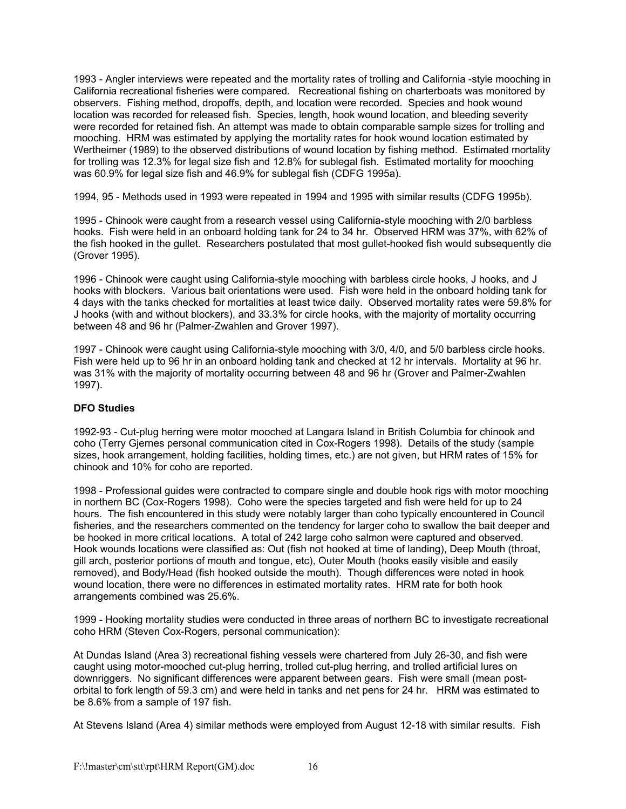1993 - Angler interviews were repeated and the mortality rates of trolling and California -style mooching in California recreational fisheries were compared. Recreational fishing on charterboats was monitored by observers. Fishing method, dropoffs, depth, and location were recorded. Species and hook wound location was recorded for released fish. Species, length, hook wound location, and bleeding severity were recorded for retained fish. An attempt was made to obtain comparable sample sizes for trolling and mooching. HRM was estimated by applying the mortality rates for hook wound location estimated by Wertheimer (1989) to the observed distributions of wound location by fishing method. Estimated mortality for trolling was 12.3% for legal size fish and 12.8% for sublegal fish. Estimated mortality for mooching was 60.9% for legal size fish and 46.9% for sublegal fish (CDFG 1995a).

1994, 95 - Methods used in 1993 were repeated in 1994 and 1995 with similar results (CDFG 1995b).

1995 - Chinook were caught from a research vessel using California-style mooching with 2/0 barbless hooks. Fish were held in an onboard holding tank for 24 to 34 hr. Observed HRM was 37%, with 62% of the fish hooked in the gullet. Researchers postulated that most gullet-hooked fish would subsequently die (Grover 1995).

1996 - Chinook were caught using California-style mooching with barbless circle hooks, J hooks, and J hooks with blockers. Various bait orientations were used. Fish were held in the onboard holding tank for 4 days with the tanks checked for mortalities at least twice daily. Observed mortality rates were 59.8% for J hooks (with and without blockers), and 33.3% for circle hooks, with the majority of mortality occurring between 48 and 96 hr (Palmer-Zwahlen and Grover 1997).

1997 - Chinook were caught using California-style mooching with 3/0, 4/0, and 5/0 barbless circle hooks. Fish were held up to 96 hr in an onboard holding tank and checked at 12 hr intervals. Mortality at 96 hr. was 31% with the majority of mortality occurring between 48 and 96 hr (Grover and Palmer-Zwahlen 1997).

# **DFO Studies**

1992-93 - Cut-plug herring were motor mooched at Langara Island in British Columbia for chinook and coho (Terry Gjernes personal communication cited in Cox-Rogers 1998). Details of the study (sample sizes, hook arrangement, holding facilities, holding times, etc.) are not given, but HRM rates of 15% for chinook and 10% for coho are reported.

1998 - Professional guides were contracted to compare single and double hook rigs with motor mooching in northern BC (Cox-Rogers 1998). Coho were the species targeted and fish were held for up to 24 hours. The fish encountered in this study were notably larger than coho typically encountered in Council fisheries, and the researchers commented on the tendency for larger coho to swallow the bait deeper and be hooked in more critical locations. A total of 242 large coho salmon were captured and observed. Hook wounds locations were classified as: Out (fish not hooked at time of landing), Deep Mouth (throat, gill arch, posterior portions of mouth and tongue, etc), Outer Mouth (hooks easily visible and easily removed), and Body/Head (fish hooked outside the mouth). Though differences were noted in hook wound location, there were no differences in estimated mortality rates. HRM rate for both hook arrangements combined was 25.6%.

1999 - Hooking mortality studies were conducted in three areas of northern BC to investigate recreational coho HRM (Steven Cox-Rogers, personal communication):

At Dundas Island (Area 3) recreational fishing vessels were chartered from July 26-30, and fish were caught using motor-mooched cut-plug herring, trolled cut-plug herring, and trolled artificial lures on downriggers. No significant differences were apparent between gears. Fish were small (mean postorbital to fork length of 59.3 cm) and were held in tanks and net pens for 24 hr. HRM was estimated to be 8.6% from a sample of 197 fish.

At Stevens Island (Area 4) similar methods were employed from August 12-18 with similar results. Fish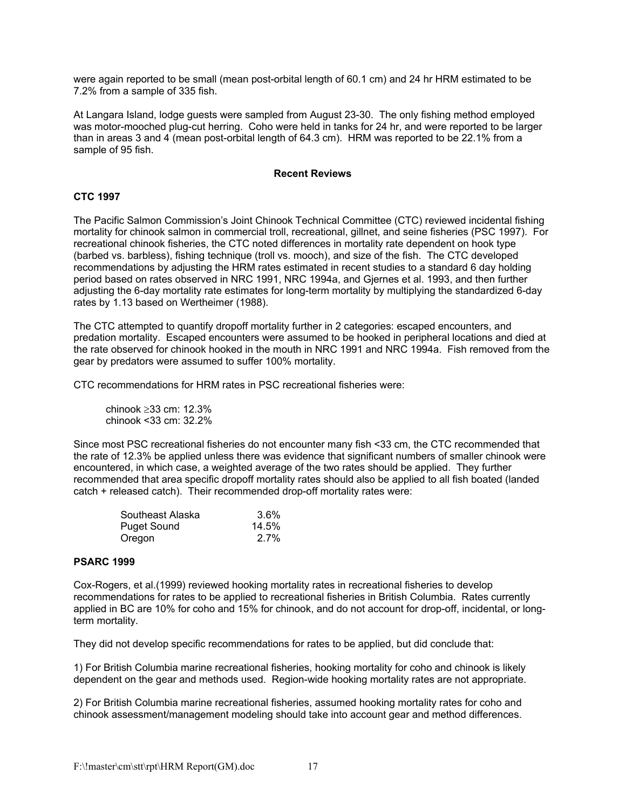were again reported to be small (mean post-orbital length of 60.1 cm) and 24 hr HRM estimated to be 7.2% from a sample of 335 fish.

At Langara Island, lodge guests were sampled from August 23-30. The only fishing method employed was motor-mooched plug-cut herring. Coho were held in tanks for 24 hr, and were reported to be larger than in areas 3 and 4 (mean post-orbital length of 64.3 cm). HRM was reported to be 22.1% from a sample of 95 fish.

#### **Recent Reviews**

# **CTC 1997**

The Pacific Salmon Commission's Joint Chinook Technical Committee (CTC) reviewed incidental fishing mortality for chinook salmon in commercial troll, recreational, gillnet, and seine fisheries (PSC 1997). For recreational chinook fisheries, the CTC noted differences in mortality rate dependent on hook type (barbed vs. barbless), fishing technique (troll vs. mooch), and size of the fish. The CTC developed recommendations by adjusting the HRM rates estimated in recent studies to a standard 6 day holding period based on rates observed in NRC 1991, NRC 1994a, and Gjernes et al. 1993, and then further adjusting the 6-day mortality rate estimates for long-term mortality by multiplying the standardized 6-day rates by 1.13 based on Wertheimer (1988).

The CTC attempted to quantify dropoff mortality further in 2 categories: escaped encounters, and predation mortality. Escaped encounters were assumed to be hooked in peripheral locations and died at the rate observed for chinook hooked in the mouth in NRC 1991 and NRC 1994a. Fish removed from the gear by predators were assumed to suffer 100% mortality.

CTC recommendations for HRM rates in PSC recreational fisheries were:

 chinook ≥33 cm: 12.3% chinook <33 cm: 32.2%

Since most PSC recreational fisheries do not encounter many fish <33 cm, the CTC recommended that the rate of 12.3% be applied unless there was evidence that significant numbers of smaller chinook were encountered, in which case, a weighted average of the two rates should be applied. They further recommended that area specific dropoff mortality rates should also be applied to all fish boated (landed catch + released catch). Their recommended drop-off mortality rates were:

| Southeast Alaska   | $3.6\%$ |
|--------------------|---------|
| <b>Puget Sound</b> | 14.5%   |
| Oregon             | $2.7\%$ |

# **PSARC 1999**

Cox-Rogers, et al.(1999) reviewed hooking mortality rates in recreational fisheries to develop recommendations for rates to be applied to recreational fisheries in British Columbia. Rates currently applied in BC are 10% for coho and 15% for chinook, and do not account for drop-off, incidental, or longterm mortality.

They did not develop specific recommendations for rates to be applied, but did conclude that:

1) For British Columbia marine recreational fisheries, hooking mortality for coho and chinook is likely dependent on the gear and methods used. Region-wide hooking mortality rates are not appropriate.

2) For British Columbia marine recreational fisheries, assumed hooking mortality rates for coho and chinook assessment/management modeling should take into account gear and method differences.